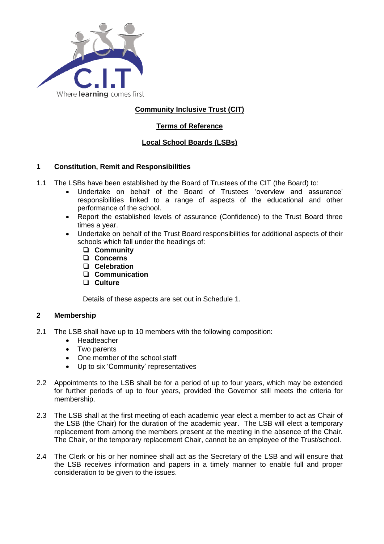

# **Community Inclusive Trust (CIT)**

## **Terms of Reference**

## **Local School Boards (LSBs)**

## **1 Constitution, Remit and Responsibilities**

- 1.1 The LSBs have been established by the Board of Trustees of the CIT (the Board) to:
	- Undertake on behalf of the Board of Trustees 'overview and assurance' responsibilities linked to a range of aspects of the educational and other performance of the school.
	- Report the established levels of assurance (Confidence) to the Trust Board three times a year.
	- Undertake on behalf of the Trust Board responsibilities for additional aspects of their schools which fall under the headings of:
		- ❑ **Community**
		- ❑ **Concerns**
		- ❑ **Celebration**
		- ❑ **Communication**
		- ❑ **Culture**

Details of these aspects are set out in Schedule 1.

## **2 Membership**

- 2.1 The LSB shall have up to 10 members with the following composition:
	- Headteacher
	- Two parents
	- One member of the school staff
	- Up to six 'Community' representatives
- 2.2 Appointments to the LSB shall be for a period of up to four years, which may be extended for further periods of up to four years, provided the Governor still meets the criteria for membership.
- 2.3 The LSB shall at the first meeting of each academic year elect a member to act as Chair of the LSB (the Chair) for the duration of the academic year. The LSB will elect a temporary replacement from among the members present at the meeting in the absence of the Chair. The Chair, or the temporary replacement Chair, cannot be an employee of the Trust/school.
- 2.4 The Clerk or his or her nominee shall act as the Secretary of the LSB and will ensure that the LSB receives information and papers in a timely manner to enable full and proper consideration to be given to the issues.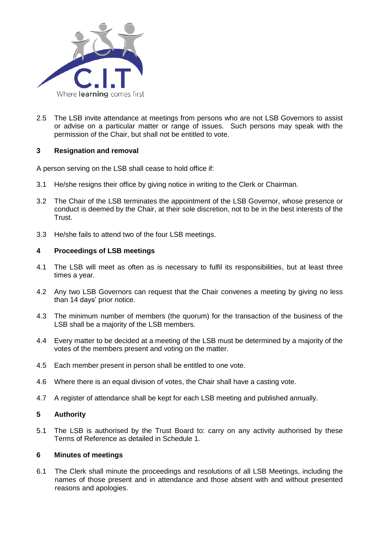

2.5 The LSB invite attendance at meetings from persons who are not LSB Governors to assist or advise on a particular matter or range of issues. Such persons may speak with the permission of the Chair, but shall not be entitled to vote.

## **3 Resignation and removal**

A person serving on the LSB shall cease to hold office if:

- 3.1 He/she resigns their office by giving notice in writing to the Clerk or Chairman.
- 3.2 The Chair of the LSB terminates the appointment of the LSB Governor, whose presence or conduct is deemed by the Chair, at their sole discretion, not to be in the best interests of the Trust.
- 3.3 He/she fails to attend two of the four LSB meetings.

## **4 Proceedings of LSB meetings**

- 4.1 The LSB will meet as often as is necessary to fulfil its responsibilities, but at least three times a year.
- 4.2 Any two LSB Governors can request that the Chair convenes a meeting by giving no less than 14 days' prior notice.
- 4.3 The minimum number of members (the quorum) for the transaction of the business of the LSB shall be a majority of the LSB members.
- 4.4 Every matter to be decided at a meeting of the LSB must be determined by a majority of the votes of the members present and voting on the matter.
- 4.5 Each member present in person shall be entitled to one vote.
- 4.6 Where there is an equal division of votes, the Chair shall have a casting vote.
- 4.7 A register of attendance shall be kept for each LSB meeting and published annually.

## **5 Authority**

5.1 The LSB is authorised by the Trust Board to: carry on any activity authorised by these Terms of Reference as detailed in Schedule 1.

### **6 Minutes of meetings**

6.1 The Clerk shall minute the proceedings and resolutions of all LSB Meetings, including the names of those present and in attendance and those absent with and without presented reasons and apologies.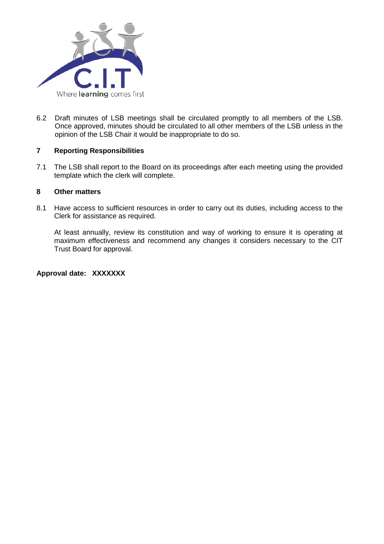

6.2 Draft minutes of LSB meetings shall be circulated promptly to all members of the LSB. Once approved, minutes should be circulated to all other members of the LSB unless in the opinion of the LSB Chair it would be inappropriate to do so.

## **7 Reporting Responsibilities**

7.1 The LSB shall report to the Board on its proceedings after each meeting using the provided template which the clerk will complete.

## **8 Other matters**

8.1 Have access to sufficient resources in order to carry out its duties, including access to the Clerk for assistance as required.

At least annually, review its constitution and way of working to ensure it is operating at maximum effectiveness and recommend any changes it considers necessary to the CIT Trust Board for approval.

**Approval date: XXXXXXX**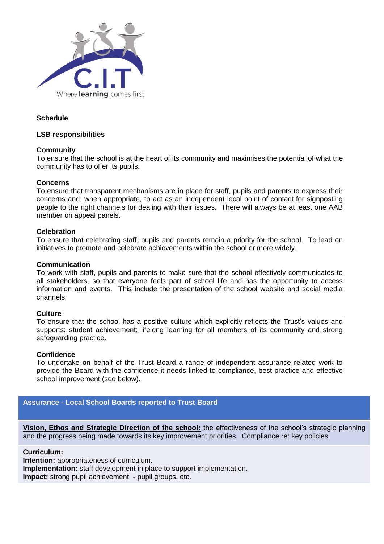

## **Schedule**

#### **LSB responsibilities**

#### **Community**

To ensure that the school is at the heart of its community and maximises the potential of what the community has to offer its pupils.

#### **Concerns**

To ensure that transparent mechanisms are in place for staff, pupils and parents to express their concerns and, when appropriate, to act as an independent local point of contact for signposting people to the right channels for dealing with their issues. There will always be at least one AAB member on appeal panels.

#### **Celebration**

To ensure that celebrating staff, pupils and parents remain a priority for the school. To lead on initiatives to promote and celebrate achievements within the school or more widely.

#### **Communication**

To work with staff, pupils and parents to make sure that the school effectively communicates to all stakeholders, so that everyone feels part of school life and has the opportunity to access information and events. This include the presentation of the school website and social media channels.

#### **Culture**

To ensure that the school has a positive culture which explicitly reflects the Trust's values and supports: student achievement; lifelong learning for all members of its community and strong safeguarding practice.

#### **Confidence**

To undertake on behalf of the Trust Board a range of independent assurance related work to provide the Board with the confidence it needs linked to compliance, best practice and effective school improvement (see below).

## **Assurance - Local School Boards reported to Trust Board**

**Vision, Ethos and Strategic Direction of the school:** the effectiveness of the school's strategic planning and the progress being made towards its key improvement priorities. Compliance re: key policies.

### **Curriculum:**

**Intention:** appropriateness of curriculum. **Implementation:** staff development in place to support implementation. **Impact:** strong pupil achievement - pupil groups, etc.